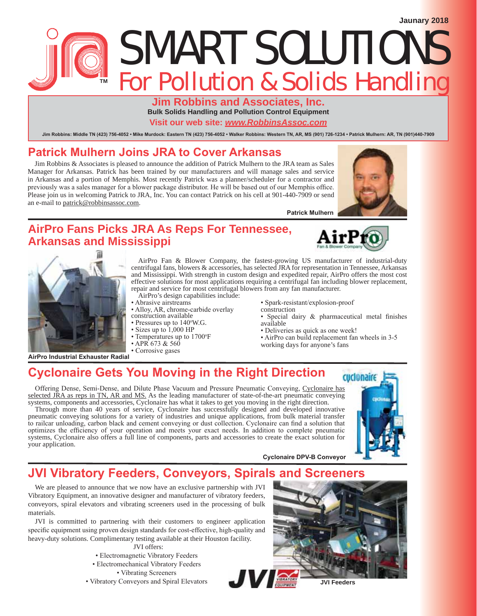# SMART SOLUTIONS **For Pollution & Solids Handling**

**Jim Robbins and Associates, Inc. Bulk Solids Handling and Pollution Control Equipment**

**Visit our web site:** *www.RobbinsAssoc.com*

Jim Robbins: Middle TN (423) 756-4052 · Mike Murdock: Eastern TN (423) 756-4052 · Walker Robbins: Western TN, AR, MS (901) 726-1234 · Patrick Mulhern: AR, TN (901)440-7909

## Patrick Mulhern Joins JRA to Cover Arkansas

Jim Robbins & Associates is pleased to announce the addition of Patrick Mulhern to the JRA team as Sales Manager for Arkansas. Patrick has been trained by our manufacturers and will manage sales and service in Arkansas and a portion of Memphis. Most recently Patrick was a planner/scheduler for a contractor and previously was a sales manager for a blower package distributor. He will be based out of our Memphis office. Please join us in welcoming Patrick to JRA, Inc. You can contact Patrick on his cell at 901-440-7909 or send an e-mail to patrick@robbinsassoc.com.



#### **AirPro Fans Picks JRA As Reps For Tennessee, Arkansas and Mississippi**





**AirPro Industrial Exhauster Radial** 

AirPro Fan & Blower Company, the fastest-growing US manufacturer of industrial-duty centrifugal fans, blowers & accessories, has selected JRA for representation in Tennessee, Arkansas and Mississippi. With strength in custom design and expedited repair, AirPro offers the most cost effective solutions for most applications requiring a centrifugal fan including blower replacement, repair and service for most centrifugal blowers from any fan manufacturer.

- AirPro's design capabilities include:
- Abrasive airstreams • Alloy, AR, chrome-carbide overlay
- construction available
- $\cdot$  Pressures up to 140°W.G.
- Sizes up to  $1,000$  HP
- Temperatures up to 1700°F
- $\cdot$  APR 673 & 560
- Corrosive gases
- Spark-resistant/explosion-proof
- construction
	- Special dairy & pharmaceutical metal finishes available
	- Deliveries as quick as one week!
	- AirPro can build replacement fan wheels in 3-5
- working days for anyone's fans

Cyclonaire DPV-B Conveyor

# **Example 3 Cyclonaire Gets You Moving in the Right Direction**

Offering Dense, Semi-Dense, and Dilute Phase Vacuum and Pressure Pneumatic Conveying, Cyclonaire has selected JRA as reps in TN, AR and MS. As the leading manufacturer of state-of-the-art pneumatic conveying systems, components and accessories, Cyclonaire has what it takes to get you moving in the right direction.

Through more than 40 years of service, Cyclonaire has successfully designed and developed innovative pneumatic conveying solutions for a variety of industries and unique applications, from bulk material transfer to railcar unloading, carbon black and cement conveying or dust collection. Cyclonaire can find a solution that optimizes the efficiency of your operation and meets your exact needs. In addition to complete pneumatic systems, Cyclonaire also offers a full line of components, parts and accessories to create the exact solution for your application.



# **JVI Vibratory Feeders, Conveyors, Spirals and Screeners**

We are pleased to announce that we now have an exclusive partnership with JVI Vibratory Equipment, an innovative designer and manufacturer of vibratory feeders, conveyors, spiral elevators and vibrating screeners used in the processing of bulk materials.

JVI is committed to partnering with their customers to engineer application specific equipment using proven design standards for cost-effective, high-quality and heavy-duty solutions. Complimentary testing available at their Houston facility.

JVI offers:

- Electromagnetic Vibratory Feeders
- Electromechanical Vibratory Feeders

• Vibrating Screeners

• Vibratory Conveyors and Spiral Elevators

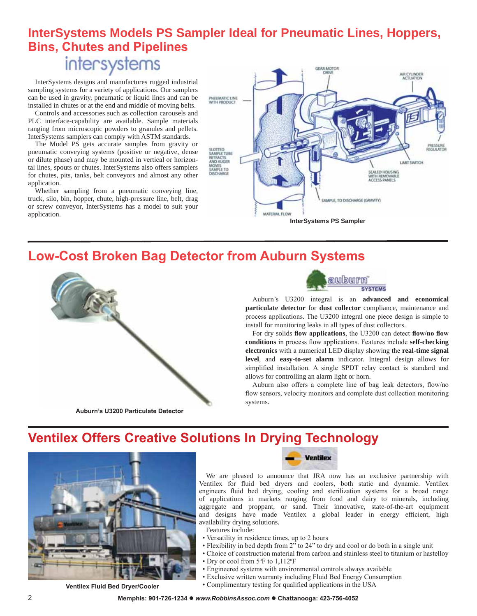# **InterSystems Models PS Sampler Ideal for Pneumatic Lines, Hoppers, Bins, Chutes and Pipelines** intersystems

InterSystems designs and manufactures rugged industrial sampling systems for a variety of applications. Our samplers can be used in gravity, pneumatic or liquid lines and can be installed in chutes or at the end and middle of moving belts.

Controls and accessories such as collection carousels and PLC interface-capability are available. Sample materials ranging from microscopic powders to granules and pellets. InterSystems samplers can comply with ASTM standards.

The Model PS gets accurate samples from gravity or pneumatic conveying systems (positive or negative, dense or dilute phase) and may be mounted in vertical or horizontal lines, spouts or chutes. InterSystems also offers samplers for chutes, pits, tanks, belt conveyors and almost any other application.

Whether sampling from a pneumatic conveying line, truck, silo, bin, hopper, chute, high-pressure line, belt, drag or screw conveyor, InterSystems has a model to suit your application.



## **Low-Cost Broken Bag Detector from Auburn Systems**



**Auburn's U3200 Particulate Detector** 



Auburn's U3200 integral is an **advanced and economical particulate detector** for **dust collector** compliance, maintenance and process applications. The U3200 integral one piece design is simple to install for monitoring leaks in all types of dust collectors.

For dry solids flow applications, the U3200 can detect flow/no flow conditions in process flow applications. Features include self-checking **electronics** with a numerical LED display showing the **real-time signal level**, and **easy-to-set alarm** indicator. Integral design allows for simplified installation. A single SPDT relay contact is standard and allows for controlling an alarm light or horn.

Auburn also offers a complete line of bag leak detectors, flow/no flow sensors, velocity monitors and complete dust collection monitoring systems.

## **Ventilex Offers Creative Solutions In Drying Technology**



**Ventilex Fluid Bed Dryer/Cooler** 



We are pleased to announce that JRA now has an exclusive partnership with Ventilex for fluid bed dryers and coolers, both static and dynamic. Ventilex engineers fluid bed drying, cooling and sterilization systems for a broad range of applications in markets ranging from food and dairy to minerals, including aggregate and proppant, or sand. Their innovative, state-of-the-art equipment and designs have made Ventilex a global leader in energy efficient, high availability drying solutions.

- Features include:
- Versatility in residence times, up to 2 hours
- Flexibility in bed depth from 2" to 24" to dry and cool or do both in a single unit
- Choice of construction material from carbon and stainless steel to titanium or hastelloy
- $\bullet$  Dry or cool from 5°F to 1,112°F
- Engineered systems with environmental controls always available
- Exclusive written warranty including Fluid Bed Energy Consumption
- Complimentary testing for qualified applications in the USA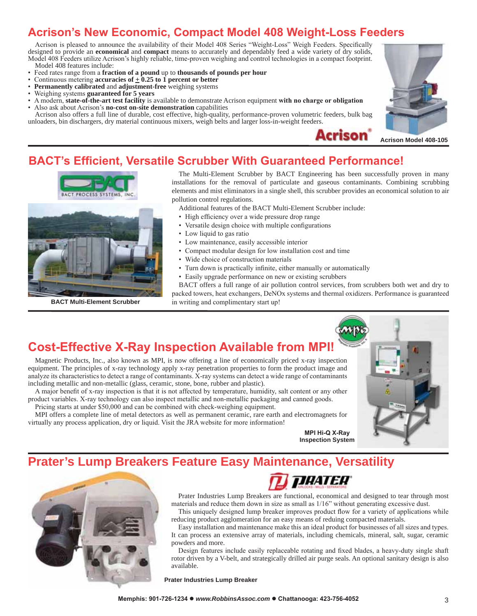# **Acrison's New Economic, Compact Model 408 Weight-Loss Feeders**

Acrison is pleased to announce the availability of their Model 408 Series "Weight-Loss" Weigh Feeders. Specifically designed to provide an **economical** and **compact** means to accurately and dependably feed a wide variety of dry solids, Model 408 Feeders utilize Acrison's highly reliable, time-proven weighing and control technologies in a compact footprint. Model 408 features include:

- Feed rates range from a fraction of a pound up to thousands of pounds per hour
- Continuous metering **accuracies of**  $\pm$  **0.25 to 1 percent or better**<br>• **Permanently calibrated** and **adinstment-free** weighing systems
- **Permanently calibrated** and **adjustment-free** weighing systems
- $\cdot$  Weighing systems guaranteed for 5 years
- **•** A modern, **state-of-the-art test facility** is available to demonstrate Acrison equipment **with no charge or obligation**<br>• Also ask about Acrison's no-cost on-site demonstration canabilities Also ask about Acrison's **no-cost on-site demonstration** capabilities

Acrison also offers a full line of durable, cost effective, high-quality, performance-proven volumetric feeders, bulk bag unloaders, bin dischargers, dry material continuous mixers, weigh belts and larger loss-in-weight feeders.





#### **BACT's Efficient, Versatile Scrubber With Guaranteed Performance!**



The Multi-Element Scrubber by BACT Engineering has been successfully proven in many installations for the removal of particulate and gaseous contaminants. Combining scrubbing elements and mist eliminators in a single shell, this scrubber provides an economical solution to air pollution control regulations.

Additional features of the BACT Multi-Element Scrubber include:

- High efficiency over a wide pressure drop range
- Versatile design choice with multiple configurations
- Low liquid to gas ratio
- Low maintenance, easily accessible interior
- Compact modular design for low installation cost and time
- Wide choice of construction materials
- Turn down is practically infinite, either manually or automatically
- Easily upgrade performance on new or existing scrubbers

BACT offers a full range of air pollution control services, from scrubbers both wet and dry to packed towers, heat exchangers, DeNOx systems and thermal oxidizers. Performance is guaranteed **BACT Multi-Element Scrubber** lin writing and complimentary start up!

## **Cost-Effective X-Ray Inspection Available from MPI!**

Magnetic Products, Inc., also known as MPI, is now offering a line of economically priced x-ray inspection equipment. The principles of x-ray technology apply x-ray penetration properties to form the product image and analyze its characteristics to detect a range of contaminants. X-ray systems can detect a wide range of contaminants including metallic and non-metallic (glass, ceramic, stone, bone, rubber and plastic).

A major benefit of x-ray inspection is that it is not affected by temperature, humidity, salt content or any other product variables. X-ray technology can also inspect metallic and non-metallic packaging and canned goods. Pricing starts at under \$50,000 and can be combined with check-weighing equipment.

MPI offers a complete line of metal detectors as well as permanent ceramic, rare earth and electromagnets for virtually any process application, dry or liquid. Visit the JRA website for more information!

**MPI Hi-Q X-Ray Inspection System**

#### **Prater's Lump Breakers Feature Easy Maintenance, Versatility**





Prater Industries Lump Breakers are functional, economical and designed to tear through most materials and reduce them down in size as small as 1/16" without generating excessive dust.

This uniquely designed lump breaker improves product flow for a variety of applications while reducing product agglomeration for an easy means of reduing compacted materials.

Easy installation and maintenance make this an ideal product for businesses of all sizes and types. It can process an extensive array of materials, including chemicals, mineral, salt, sugar, ceramic powders and more.

Design features include easily replaceable rotating and fixed blades, a heavy-duty single shaft rotor driven by a V-belt, and strategically drilled air purge seals. An optional sanitary design is also available.

**Prater Industries Lump Breaker**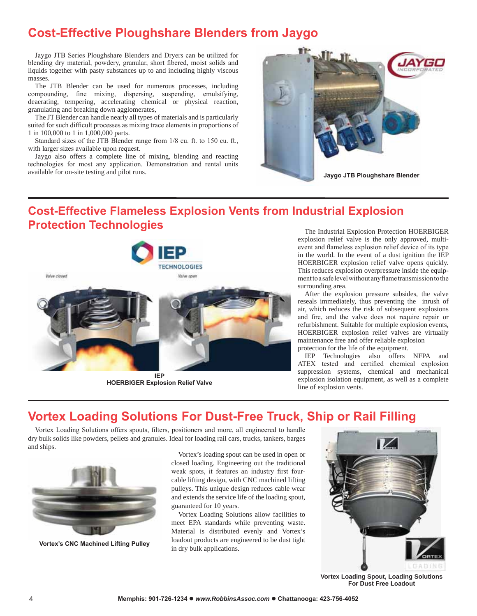## **Cost-Effective Ploughshare Blenders from Jaygo**

Jaygo JTB Series Ploughshare Blenders and Dryers can be utilized for blending dry material, powdery, granular, short fibered, moist solids and liquids together with pasty substances up to and including highly viscous masses.

The JTB Blender can be used for numerous processes, including compounding, fine mixing, dispersing, suspending, emulsifying, deaerating, tempering, accelerating chemical or physical reaction, granulating and breaking down agglomerates,

The JT Blender can handle nearly all types of materials and is particularly suited for such difficult processes as mixing trace elements in proportions of 1 in 100,000 to 1 in 1,000,000 parts.

Standard sizes of the JTB Blender range from 1/8 cu. ft. to 150 cu. ft., with larger sizes available upon request.

Jaygo also offers a complete line of mixing, blending and reacting technologies for most any application. Demonstration and rental units available for on-site testing and pilot runs.



# **Cost-Effective Flameless Explosion Vents from Industrial Explosion 3URWHFMLRTMTMLRTMTMLRTMTMLRTMTMLRTMTMLRTMTMLRTMTMLRTMTMLRTMTMLRTMTMLRTMTMLRTMTMLRTMTMLRTMTMLRTMTMLRTMTMLRTMTMLR**



**HOERBIGER Explosion Relief Valve** 

explosion relief valve is the only approved, multievent and flameless explosion relief device of its type in the world. In the event of a dust ignition the IEP HOERBIGER explosion relief valve opens quickly. This reduces explosion overpressure inside the equipment to a safe level without any flame transmission to the surrounding area.

After the explosion pressure subsides, the valve reseals immediately, thus preventing the inrush of air, which reduces the risk of subsequent explosions and fire, and the valve does not require repair or refurbishment. Suitable for multiple explosion events, HOERBIGER explosion relief valves are virtually maintenance free and offer reliable explosion protection for the life of the equipment.

IEP Technologies also offers NFPA and ATEX tested and certified chemical explosion suppression systems, chemical and mechanical explosion isolation equipment, as well as a complete line of explosion vents.

## **Vortex Loading Solutions For Dust-Free Truck, Ship or Rail Filling**

Vortex Loading Solutions offers spouts, filters, positioners and more, all engineered to handle dry bulk solids like powders, pellets and granules. Ideal for loading rail cars, trucks, tankers, barges and ships.



**Vortex's CNC Machined Lifting Pulley** 

Vortex's loading spout can be used in open or closed loading. Engineering out the traditional weak spots, it features an industry first fourcable lifting design, with CNC machined lifting pulleys. This unique design reduces cable wear and extends the service life of the loading spout, guaranteed for 10 years.

Vortex Loading Solutions allow facilities to meet EPA standards while preventing waste. Material is distributed evenly and Vortex's loadout products are engineered to be dust tight in dry bulk applications.



**Vortex Loading Spout, Loading Solutions For Dust Free Loadout**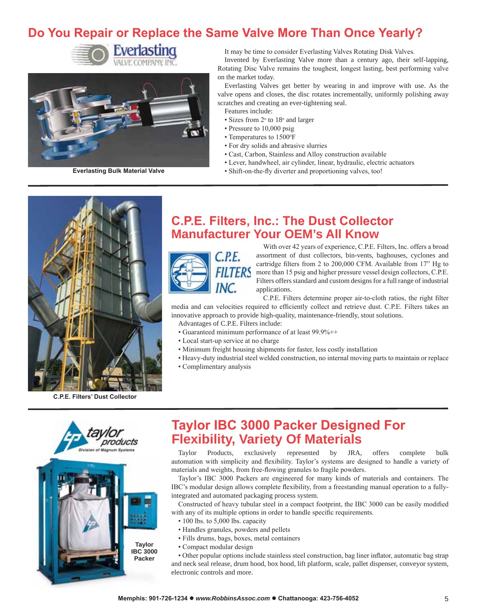# Do You Repair or Replace the Same Valve More Than Once Yearly?





It may be time to consider Everlasting Valves Rotating Disk Valves.

Invented by Everlasting Valve more than a century ago, their self-lapping, Rotating Disc Valve remains the toughest, longest lasting, best performing valve on the market today.

Everlasting Valves get better by wearing in and improve with use. As the valve opens and closes, the disc rotates incrementally, uniformly polishing away scratches and creating an ever-tightening seal.

- Features include:
- Sizes from  $2^{\circ}$  to  $18^{\circ}$  and larger
- $\cdot$  Pressure to 10,000 psig
- Temperatures to 1500°F
- For dry solids and abrasive slurries
- Cast, Carbon, Stainless and Alloy construction available
- Lever, handwheel, air cylinder, linear, hydraulic, electric actuators
- **Everlasting Bulk Material Valve (X) (X) (X) 6** Shift-on-the-fly diverter and proportioning valves, too!



**C.P.E. Filters' Dust Collector** 

#### **C.P.E. Filters, Inc.: The Dust Collector Manufacturer Your OEM's All Know**



With over 42 years of experience, C.P.E. Filters, Inc. offers a broad assortment of dust collectors, bin-vents, baghouses, cyclones and cartridge filters from 2 to 200,000 CFM. Available from 17" Hg to more than 15 psig and higher pressure vessel design collectors, C.P.E. Filters offers standard and custom designs for a full range of industrial applications.

C.P.E. Filters determine proper air-to-cloth ratios, the right filter media and can velocities required to efficiently collect and retrieve dust. C.P.E. Filters takes an innovative approach to provide high-quality, maintenance-friendly, stout solutions.

- Advantages of C.P.E. Filters include:
- Guaranteed minimum performance of at least 99.9%++
- Local start-up service at no charge
- Minimum freight housing shipments for faster, less costly installation
- + Heavy-duty industrial steel welded construction, no internal moving parts to maintain or replace
- Complimentary analysis



# **Taylor IBC 3000 Packer Designed For Flexibility, Variety Of Materials**

Taylor Products, exclusively represented by JRA, offers complete bulk automation with simplicity and flexibility. Taylor's systems are designed to handle a variety of materials and weights, from free-flowing granules to fragile powders.

Taylor's IBC 3000 Packers are engineered for many kinds of materials and containers. The IBC's modular design allows complete flexibility, from a freestanding manual operation to a fullyintegrated and automated packaging process system.

Constructed of heavy tubular steel in a compact footprint, the IBC 3000 can be easily modified with any of its multiple options in order to handle specific requirements.

- $\cdot$  100 lbs. to 5,000 lbs. capacity
- Handles granules, powders and pellets
- Fills drums, bags, boxes, metal containers
- Compact modular design

• Other popular options include stainless steel construction, bag liner inflator, automatic bag strap and neck seal release, drum hood, box hood, lift platform, scale, pallet dispenser, conveyor system, electronic controls and more.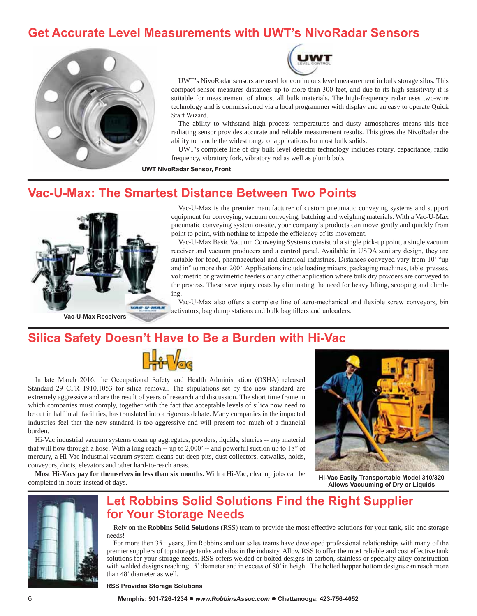## **Get Accurate Level Measurements with UWT's NivoRadar Sensors**





UWT's NivoRadar sensors are used for continuous level measurement in bulk storage silos. This compact sensor measures distances up to more than 300 feet, and due to its high sensitivity it is suitable for measurement of almost all bulk materials. The high-frequency radar uses two-wire technology and is commissioned via a local programmer with display and an easy to operate Quick Start Wizard.

The ability to withstand high process temperatures and dusty atmospheres means this free radiating sensor provides accurate and reliable measurement results. This gives the NivoRadar the ability to handle the widest range of applications for most bulk solids.

UWT's complete line of dry bulk level detector technology includes rotary, capacitance, radio frequency, vibratory fork, vibratory rod as well as plumb bob.

**UWT NivoRadar Sensor, Front** 

#### **Vac-U-Max: The Smartest Distance Between Two Points**



**Vac-U-Max Receivers** 

Vac-U-Max is the premier manufacturer of custom pneumatic conveying systems and support equipment for conveying, vacuum conveying, batching and weighing materials. With a Vac-U-Max pneumatic conveying system on-site, your company's products can move gently and quickly from point to point, with nothing to impede the efficiency of its movement.

Vac-U-Max Basic Vacuum Conveying Systems consist of a single pick-up point, a single vacuum receiver and vacuum producers and a control panel. Available in USDA sanitary design, they are suitable for food, pharmaceutical and chemical industries. Distances conveyed vary from 10' "up and in" to more than 200'. Applications include loading mixers, packaging machines, tablet presses, volumetric or gravimetric feeders or any other application where bulk dry powders are conveyed to the process. These save injury costs by eliminating the need for heavy lifting, scooping and climbing.

Vac-U-Max also offers a complete line of aero-mechanical and flexible screw conveyors, bin activators, bag dump stations and bulk bag fillers and unloaders.

## **Silica Safety Doesn't Have to Be a Burden with Hi-Vac**



In late March 2016, the Occupational Safety and Health Administration (OSHA) released Standard 29 CFR 1910.1053 for silica removal. The stipulations set by the new standard are extremely aggressive and are the result of years of research and discussion. The short time frame in which companies must comply, together with the fact that acceptable levels of silica now need to be cut in half in all facilities, has translated into a rigorous debate. Many companies in the impacted industries feel that the new standard is too aggressive and will present too much of a financial burden.

Hi-Vac industrial vacuum systems clean up aggregates, powders, liquids, slurries -- any material that will flow through a hose. With a long reach -- up to  $2,000'$  -- and powerful suction up to  $18"$  of mercury, a Hi-Vac industrial vacuum system cleans out deep pits, dust collectors, catwalks, holds, conveyors, ducts, elevators and other hard-to-reach areas.

**Most Hi-Vacs pay for themselves in less than six months.** With a Hi-Vac, cleanup jobs can be completed in hours instead of days.



**Hi-Vac Easily Transportable Model 310/320 Allows Vacuuming of Dry or Liquids** 



## **Let Robbins Solid Solutions Find the Right Supplier for Your Storage Needs**

Rely on the **Robbins Solid Solutions** (RSS) team to provide the most effective solutions for your tank, silo and storage needs!

For more then 35+ years, Jim Robbins and our sales teams have developed professional relationships with many of the premier suppliers of top storage tanks and silos in the industry. Allow RSS to offer the most reliable and cost effective tank solutions for your storage needs. RSS offers welded or bolted designs in carbon, stainless or specialty alloy construction with welded designs reaching 15' diameter and in excess of 80' in height. The bolted hopper bottom designs can reach more than 48' diameter as well.

**RSS Provides Storage Solutions**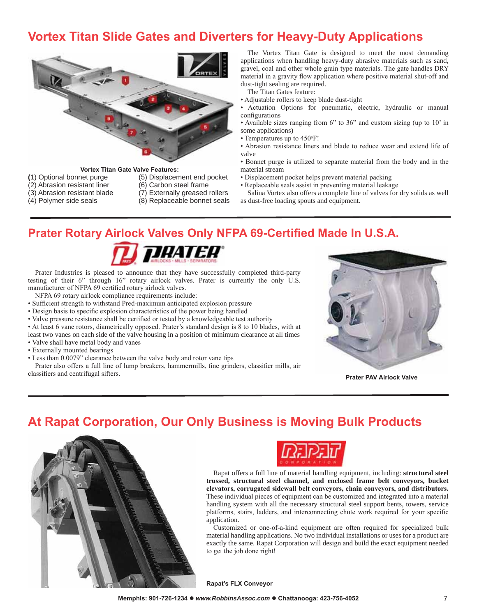# **Vortex Titan Slide Gates and Diverters for Heavy-Duty Applications**



- **9RUM Vortex Titan Gate Valve Features:**<br>(1) Optional bonnet purge (5) Displacem
- (2) Abrasion resistant liner
- -
- (5) Displacement end pocket (6) Carbon steel frame
- 
- (3) Abrasion resistant blade (7) Externally greased rollers<br>(4) Polymer side seals (8) Replaceable bonnet seals
	- (8) Replaceable bonnet seals

The Vortex Titan Gate is designed to meet the most demanding applications when handling heavy-duty abrasive materials such as sand, gravel, coal and other whole grain type materials. The gate handles DRY material in a gravity flow application where positive material shut-off and dust-tight sealing are required.

The Titan Gates feature:

- Adjustable rollers to keep blade dust-tight
- Actuation Options for pneumatic, electric, hydraulic or manual configurations
- Available sizes ranging from 6" to 36" and custom sizing (up to 10' in some applications)
- Temperatures up to 450°F!
- Abrasion resistance liners and blade to reduce wear and extend life of valve
- Bonnet purge is utilized to separate material from the body and in the material stream
- Displacement pocket helps prevent material packing
- Replaceable seals assist in preventing material leakage
- Salina Vortex also offers a complete line of valves for dry solids as well as dust-free loading spouts and equipment.

#### **Prater Rotary Airlock Valves Only NFPA 69-Certified Made In U.S.A.**



Prater Industries is pleased to announce that they have successfully completed third-party testing of their  $6$ " through  $16$ " rotary airlock valves. Prater is currently the only U.S. manufacturer of NFPA 69 certified rotary airlock valves.

- NFPA 69 rotary airlock compliance requirements include:
- Sufficient strength to withstand Pred-maximum anticipated explosion pressure
- Design basis to specific explosion characteristics of the power being handled
- Valve pressure resistance shall be certified or tested by a knowledgeable test authority
- At least 6 vane rotors, diametrically opposed. Prater's standard design is 8 to 10 blades, with at

least two vanes on each side of the valve housing in a position of minimum clearance at all times • Valve shall have metal body and vanes

- Externally mounted bearings
- Less than 0.0079" clearance between the valve body and rotor vane tips

Prater also offers a full line of lump breakers, hammermills, fine grinders, classifier mills, air For classifiers and centrifugal sifters.



## **At Rapat Corporation, Our Only Business is Moving Bulk Products**





Rapat offers a full line of material handling equipment, including: **structural steel trussed, structural steel channel, and enclosed frame belt conveyors, bucket** elevators, corrugated sidewall belt conveyors, chain conveyors, and distributors. These individual pieces of equipment can be customized and integrated into a material handling system with all the necessary structural steel support bents, towers, service platforms, stairs, ladders, and interconnecting chute work required for your specific application.

Customized or one-of-a-kind equipment are often required for specialized bulk material handling applications. No two individual installations or uses for a product are exactly the same. Rapat Corporation will design and build the exact equipment needed to get the job done right!

**Rapat's FLX Convevor**